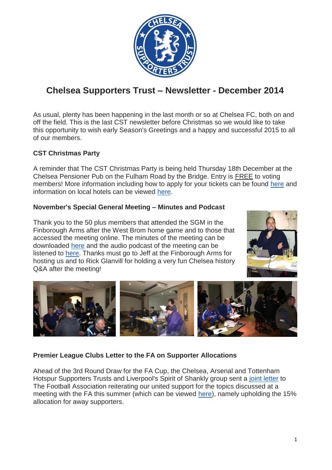

# **Chelsea Supporters Trust – Newsletter - December 2014**

As usual, plenty has been happening in the last month or so at Chelsea FC, both on and off the field. This is the last CST newsletter before Christmas so we would like to take this opportunity to wish early Season's Greetings and a happy and successful 2015 to all of our members.

# **CST Christmas Party**

A reminder that The CST Christmas Party is being held Thursday 18th December at the Chelsea Pensioner Pub on the Fulham Road by the Bridge. Entry is FREE to voting members! More information including how to apply for your tickets can be found [here](http://www.chelseasupporterstrust.com/docs/cst_xmas_party_flyer.pdf) and information on local hotels can be viewed [here.](http://www.chelseasupporterstrust.com/xmas_party.html)

# **November's Special General Meeting – Minutes and Podcast**

Thank you to the 50 plus members that attended the SGM in the Finborough Arms after the West Brom home game and to those that accessed the meeting online. The minutes of the meeting can be downloaded [here](http://www.chelseasupporterstrust.com/docs/cst_sgm_minutes_22nov14.pdf) and the audio podcast of the meeting can be listened to [here.](https://soundcloud.com/chelseafancast/chelsea-supporters-trust-sgm-22nd-november-2014) Thanks must go to Jeff at the Finborough Arms for hosting us and to Rick Glanvill for holding a very fun Chelsea history Q&A after the meeting!





# **Premier League Clubs Letter to the FA on Supporter Allocations**

Ahead of the 3rd Round Draw for the FA Cup, the Chelsea, Arsenal and Tottenham Hotspur Supporters Trusts and Liverpool's Spirit of Shankly group sent a [joint letter](http://www.chelseasupporterstrust.com/docs/fa_15pcnt_and_cup_final_nov14.pdf) to The Football Association reiterating our united support for the topics discussed at a meeting with the FA this summer (which can be viewed [here\)](http://www.chelseasupporterstrust.com/FA_meeting_07jul14.html), namely upholding the 15% allocation for away supporters.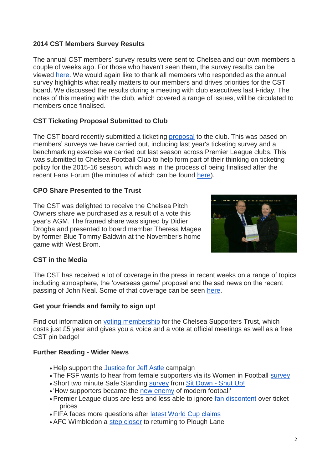# **2014 CST Members Survey Results**

The annual CST members' survey results were sent to Chelsea and our own members a couple of weeks ago. For those who haven't seen them, the survey results can be viewed [here.](http://www.chelseasupporterstrust.com/docs/membershipsurvey_13-14.pdf) We would again like to thank all members who responded as the annual survey highlights what really matters to our members and drives priorities for the CST board. We discussed the results during a meeting with club executives last Friday. The notes of this meeting with the club, which covered a range of issues, will be circulated to members once finalised.

# **CST Ticketing Proposal Submitted to Club**

The CST board recently submitted a ticketing **[proposal](http://www.chelseasupporterstrust.com/docs/cst_ticketing_proposal.pdf)** to the club. This was based on members' surveys we have carried out, including last year's ticketing survey and a benchmarking exercise we carried out last season across Premier League clubs. This was submitted to Chelsea Football Club to help form part of their thinking on ticketing policy for the 2015-16 season, which was in the process of being finalised after the recent Fans Forum (the minutes of which can be found [here\)](http://www.chelseasupporterstrust.com/fans_forum.html).

#### **CPO Share Presented to the Trust**

The CST was delighted to receive the Chelsea Pitch Owners share we purchased as a result of a vote this year's AGM. The framed share was signed by Didier Drogba and presented to board member Theresa Magee by former Blue Tommy Baldwin at the November's home game with West Brom.



# **CST in the Media**

The CST has received a lot of coverage in the press in recent weeks on a range of topics including atmosphere, the 'overseas game' proposal and the sad news on the recent passing of John Neal. Some of that coverage can be seen [here.](https://www.google.co.uk/search?q=chelsea+supporters+trust&espv=2&source=lnms&tbm=nws&sa=X&ei=t0RvVNCpEsnraO6xgIAB&ved=0CAkQ_AUoAg&biw=1495&bih=921)

#### **Get your friends and family to sign up!**

Find out information on [voting membership](http://www.chelseasupporterstrust.com/membership.html) for the Chelsea Supporters Trust, which costs just £5 year and gives you a voice and a vote at official meetings as well as a free CST pin badge!

#### **Further Reading - Wider News**

- Help support the [Justice for Jeff Astle](http://www.chelseasupporterstrust.com/jeff_astle.html) campaign
- The FSF wants to hear from female supporters via its Women in Football [survey](https://www.surveymonkey.com/s/women-at-football)
- Short two minute Safe Standing [survey](https://docs.google.com/forms/d/19TLMtjghQxMy7de4nIIg92hkyzSI9kDTanwrrYsIjOk/viewform?c=0&w=1) from [Sit Down -](https://www.indiegogo.com/projects/sit-down-shut-up) Shut Up!
- 'How supporters became the [new enemy](http://www.thedaisycutter.co.uk/2014/11/how-supporters-became-the-new-villains-of-modern-football) of modern football'
- Premier League clubs are less and less able to ignore [fan discontent](http://www.newstatesman.com/lifestyle/2014/12/premier-league-clubs-are-less-and-less-able-ignore-fan-discontent-over-ticket) over ticket prices
- FIFA faces more questions after [latest World Cup claims](http://www.bbc.co.uk/sport/0/football/30267073)
- AFC Wimbledon a step [closer](http://www.afcwimbledon.co.uk/news/article/planning-application-2083852.aspx) to returning to Plough Lane